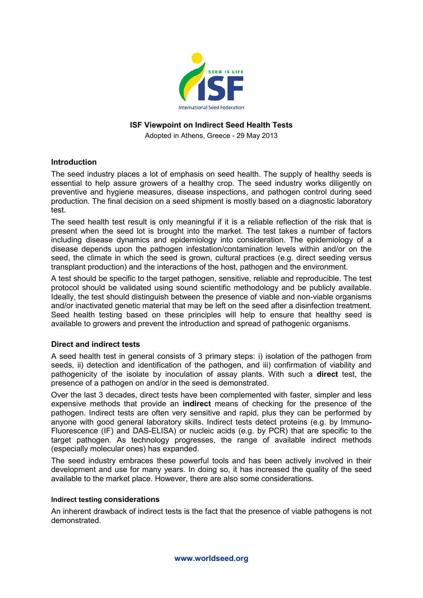

### **ISF Viewpoint on Indirect Seed Health Tests**

Adopted in Athens, Greece - 29 May 2013

#### **Introduction**

The seed industry places a lot of emphasis on seed health. The supply of healthy seeds is essential to help assure growers of a healthy crop. The seed industry works diligently on preventive and hygiene measures, disease inspections, and pathogen control during seed production. The final decision on a seed shipment is mostly based on a diagnostic laboratory test.

The seed health test result is only meaningful if it is a reliable reflection of the risk that is present when the seed lot is brought into the market. The test takes a number of factors including disease dynamics and epidemiology into consideration. The epidemiology of a disease depends upon the pathogen infestation/contamination levels within and/or on the seed, the climate in which the seed is grown, cultural practices (e.g. direct seeding versus transplant production) and the interactions of the host, pathogen and the environment.

A test should be specific to the target pathogen, sensitive, reliable and reproducible. The test protocol should be validated using sound scientific methodology and be publicly available. Ideally, the test should distinguish between the presence of viable and non-viable organisms and/or inactivated genetic material that may be left on the seed after a disinfection treatment. Seed health testing based on these principles will help to ensure that healthy seed is available to growers and prevent the introduction and spread of pathogenic organisms.

# **Direct and indirect tests**

A seed health test in general consists of 3 primary steps: i) isolation of the pathogen from seeds, ii) detection and identification of the pathogen, and iii) confirmation of viability and pathogenicity of the isolate by inoculation of assay plants. With such a **direct** test, the presence of a pathogen on and/or in the seed is demonstrated.

Over the last 3 decades, direct tests have been complemented with faster, simpler and less expensive methods that provide an **indirect** means of checking for the presence of the pathogen. Indirect tests are often very sensitive and rapid, plus they can be performed by anyone with good general laboratory skills. Indirect tests detect proteins (e.g. by Immuno-Fluorescence (IF) and DAS-ELISA) or nucleic acids (e.g. by PCR) that are specific to the target pathogen. As technology progresses, the range of available indirect methods (especially molecular ones) has expanded.

The seed industry embraces these powerful tools and has been actively involved in their development and use for many years. In doing so, it has increased the quality of the seed available to the market place. However, there are also some considerations.

#### **Indirect testing considerations**

An inherent drawback of indirect tests is the fact that the presence of viable pathogens is not demonstrated.